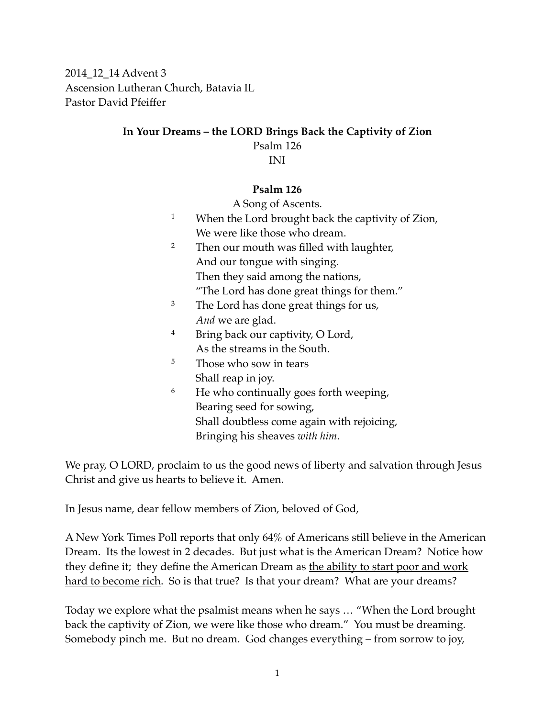2014\_12\_14 Advent 3 Ascension Lutheran Church, Batavia IL Pastor David Pfeiffer

## **In Your Dreams – the LORD Brings Back the Captivity of Zion** Psalm 126 INI

## **Psalm 126**

A Song of Ascents.

- <sup>1</sup> When the Lord brought back the captivity of Zion, We were like those who dream.
- <sup>2</sup> Then our mouth was filled with laughter, And our tongue with singing. Then they said among the nations, "The Lord has done great things for them."
- <sup>3</sup> The Lord has done great things for us, *And* we are glad.
- <sup>4</sup> Bring back our captivity, O Lord, As the streams in the South.
- <sup>5</sup> Those who sow in tears Shall reap in joy.
- <sup>6</sup> He who continually goes forth weeping, Bearing seed for sowing, Shall doubtless come again with rejoicing, Bringing his sheaves *with him*.

We pray, O LORD, proclaim to us the good news of liberty and salvation through Jesus Christ and give us hearts to believe it. Amen.

In Jesus name, dear fellow members of Zion, beloved of God,

A New York Times Poll reports that only 64% of Americans still believe in the American Dream. Its the lowest in 2 decades. But just what is the American Dream? Notice how they define it; they define the American Dream as <u>the ability to start poor and work</u> hard to become rich. So is that true? Is that your dream? What are your dreams?

Today we explore what the psalmist means when he says … "When the Lord brought back the captivity of Zion, we were like those who dream." You must be dreaming. Somebody pinch me. But no dream. God changes everything – from sorrow to joy,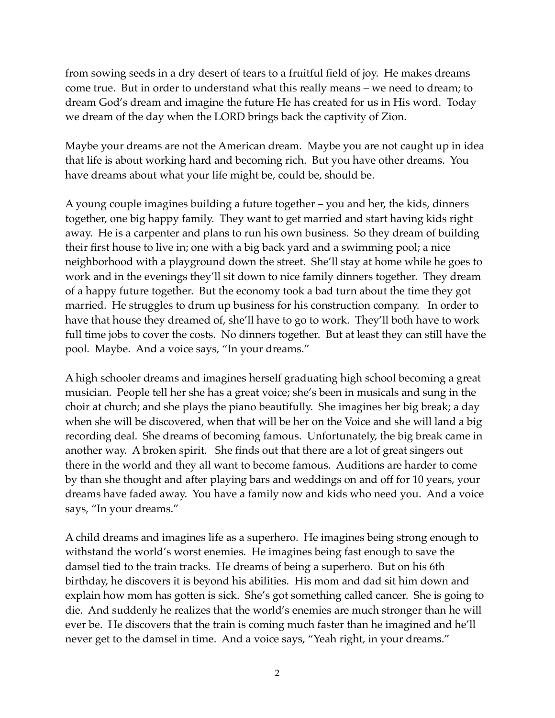from sowing seeds in a dry desert of tears to a fruitful field of joy. He makes dreams come true. But in order to understand what this really means – we need to dream; to dream God's dream and imagine the future He has created for us in His word. Today we dream of the day when the LORD brings back the captivity of Zion.

Maybe your dreams are not the American dream. Maybe you are not caught up in idea that life is about working hard and becoming rich. But you have other dreams. You have dreams about what your life might be, could be, should be.

A young couple imagines building a future together – you and her, the kids, dinners together, one big happy family. They want to get married and start having kids right away. He is a carpenter and plans to run his own business. So they dream of building their first house to live in; one with a big back yard and a swimming pool; a nice neighborhood with a playground down the street. She'll stay at home while he goes to work and in the evenings they'll sit down to nice family dinners together. They dream of a happy future together. But the economy took a bad turn about the time they got married. He struggles to drum up business for his construction company. In order to have that house they dreamed of, she'll have to go to work. They'll both have to work full time jobs to cover the costs. No dinners together. But at least they can still have the pool. Maybe. And a voice says, "In your dreams."

A high schooler dreams and imagines herself graduating high school becoming a great musician. People tell her she has a great voice; she's been in musicals and sung in the choir at church; and she plays the piano beautifully. She imagines her big break; a day when she will be discovered, when that will be her on the Voice and she will land a big recording deal. She dreams of becoming famous. Unfortunately, the big break came in another way. A broken spirit. She finds out that there are a lot of great singers out there in the world and they all want to become famous. Auditions are harder to come by than she thought and after playing bars and weddings on and off for 10 years, your dreams have faded away. You have a family now and kids who need you. And a voice says, "In your dreams."

A child dreams and imagines life as a superhero. He imagines being strong enough to withstand the world's worst enemies. He imagines being fast enough to save the damsel tied to the train tracks. He dreams of being a superhero. But on his 6th birthday, he discovers it is beyond his abilities. His mom and dad sit him down and explain how mom has gotten is sick. She's got something called cancer. She is going to die. And suddenly he realizes that the world's enemies are much stronger than he will ever be. He discovers that the train is coming much faster than he imagined and he'll never get to the damsel in time. And a voice says, "Yeah right, in your dreams."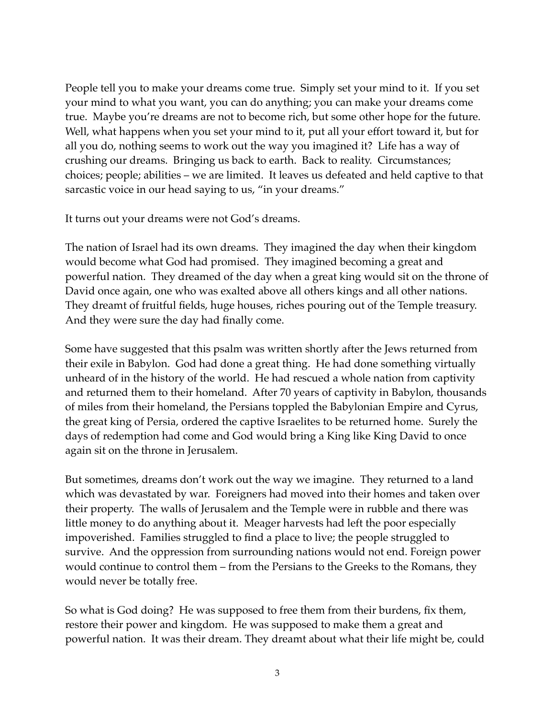People tell you to make your dreams come true. Simply set your mind to it. If you set your mind to what you want, you can do anything; you can make your dreams come true. Maybe you're dreams are not to become rich, but some other hope for the future. Well, what happens when you set your mind to it, put all your effort toward it, but for all you do, nothing seems to work out the way you imagined it? Life has a way of crushing our dreams. Bringing us back to earth. Back to reality. Circumstances; choices; people; abilities – we are limited. It leaves us defeated and held captive to that sarcastic voice in our head saying to us, "in your dreams."

It turns out your dreams were not God's dreams.

The nation of Israel had its own dreams. They imagined the day when their kingdom would become what God had promised. They imagined becoming a great and powerful nation. They dreamed of the day when a great king would sit on the throne of David once again, one who was exalted above all others kings and all other nations. They dreamt of fruitful fields, huge houses, riches pouring out of the Temple treasury. And they were sure the day had finally come.

Some have suggested that this psalm was written shortly after the Jews returned from their exile in Babylon. God had done a great thing. He had done something virtually unheard of in the history of the world. He had rescued a whole nation from captivity and returned them to their homeland. After 70 years of captivity in Babylon, thousands of miles from their homeland, the Persians toppled the Babylonian Empire and Cyrus, the great king of Persia, ordered the captive Israelites to be returned home. Surely the days of redemption had come and God would bring a King like King David to once again sit on the throne in Jerusalem.

But sometimes, dreams don't work out the way we imagine. They returned to a land which was devastated by war. Foreigners had moved into their homes and taken over their property. The walls of Jerusalem and the Temple were in rubble and there was little money to do anything about it. Meager harvests had left the poor especially impoverished. Families struggled to find a place to live; the people struggled to survive. And the oppression from surrounding nations would not end. Foreign power would continue to control them – from the Persians to the Greeks to the Romans, they would never be totally free.

So what is God doing? He was supposed to free them from their burdens, fix them, restore their power and kingdom. He was supposed to make them a great and powerful nation. It was their dream. They dreamt about what their life might be, could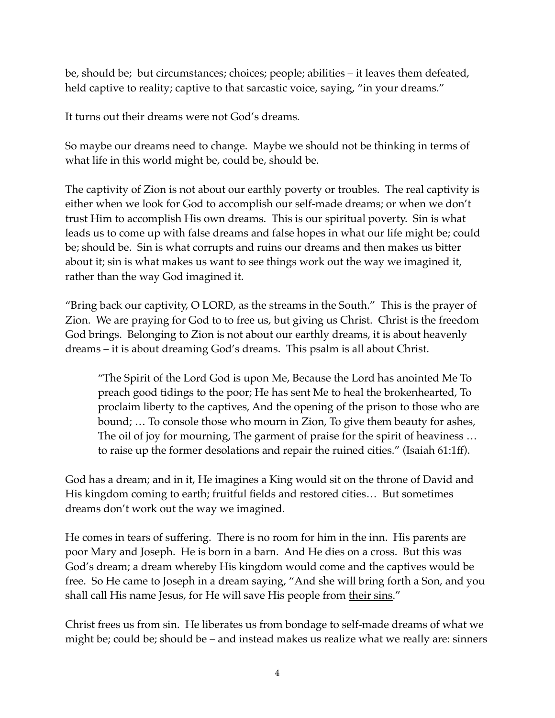be, should be; but circumstances; choices; people; abilities – it leaves them defeated, held captive to reality; captive to that sarcastic voice, saying, "in your dreams."

It turns out their dreams were not God's dreams.

So maybe our dreams need to change. Maybe we should not be thinking in terms of what life in this world might be, could be, should be.

The captivity of Zion is not about our earthly poverty or troubles. The real captivity is either when we look for God to accomplish our self-made dreams; or when we don't trust Him to accomplish His own dreams. This is our spiritual poverty. Sin is what leads us to come up with false dreams and false hopes in what our life might be; could be; should be. Sin is what corrupts and ruins our dreams and then makes us bitter about it; sin is what makes us want to see things work out the way we imagined it, rather than the way God imagined it.

"Bring back our captivity, O LORD, as the streams in the South." This is the prayer of Zion. We are praying for God to to free us, but giving us Christ. Christ is the freedom God brings. Belonging to Zion is not about our earthly dreams, it is about heavenly dreams – it is about dreaming God's dreams. This psalm is all about Christ.

"The Spirit of the Lord God is upon Me, Because the Lord has anointed Me To preach good tidings to the poor; He has sent Me to heal the brokenhearted, To proclaim liberty to the captives, And the opening of the prison to those who are bound; … To console those who mourn in Zion, To give them beauty for ashes, The oil of joy for mourning, The garment of praise for the spirit of heaviness … to raise up the former desolations and repair the ruined cities." (Isaiah 61:1ff).

God has a dream; and in it, He imagines a King would sit on the throne of David and His kingdom coming to earth; fruitful fields and restored cities… But sometimes dreams don't work out the way we imagined.

He comes in tears of suffering. There is no room for him in the inn. His parents are poor Mary and Joseph. He is born in a barn. And He dies on a cross. But this was God's dream; a dream whereby His kingdom would come and the captives would be free. So He came to Joseph in a dream saying, "And she will bring forth a Son, and you shall call His name Jesus, for He will save His people from their sins."

Christ frees us from sin. He liberates us from bondage to self-made dreams of what we might be; could be; should be – and instead makes us realize what we really are: sinners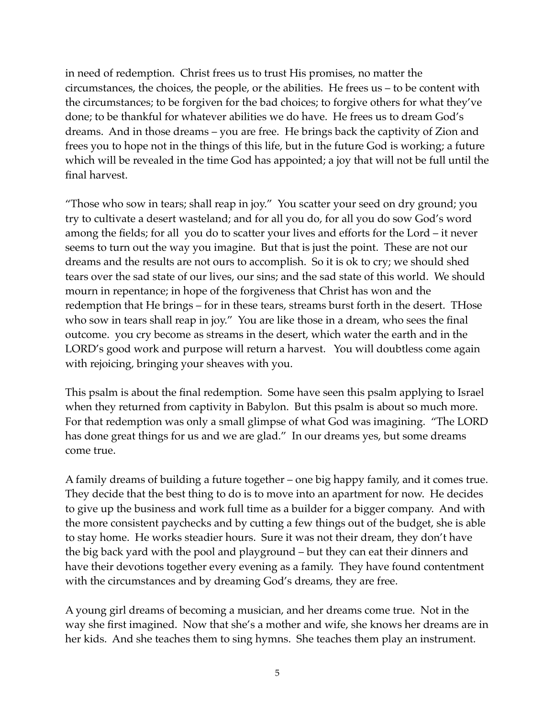in need of redemption. Christ frees us to trust His promises, no matter the circumstances, the choices, the people, or the abilities. He frees us – to be content with the circumstances; to be forgiven for the bad choices; to forgive others for what they've done; to be thankful for whatever abilities we do have. He frees us to dream God's dreams. And in those dreams – you are free. He brings back the captivity of Zion and frees you to hope not in the things of this life, but in the future God is working; a future which will be revealed in the time God has appointed; a joy that will not be full until the final harvest.

"Those who sow in tears; shall reap in joy." You scatter your seed on dry ground; you try to cultivate a desert wasteland; and for all you do, for all you do sow God's word among the fields; for all you do to scatter your lives and efforts for the Lord – it never seems to turn out the way you imagine. But that is just the point. These are not our dreams and the results are not ours to accomplish. So it is ok to cry; we should shed tears over the sad state of our lives, our sins; and the sad state of this world. We should mourn in repentance; in hope of the forgiveness that Christ has won and the redemption that He brings – for in these tears, streams burst forth in the desert. THose who sow in tears shall reap in joy." You are like those in a dream, who sees the final outcome. you cry become as streams in the desert, which water the earth and in the LORD's good work and purpose will return a harvest. You will doubtless come again with rejoicing, bringing your sheaves with you.

This psalm is about the final redemption. Some have seen this psalm applying to Israel when they returned from captivity in Babylon. But this psalm is about so much more. For that redemption was only a small glimpse of what God was imagining. "The LORD has done great things for us and we are glad." In our dreams yes, but some dreams come true.

A family dreams of building a future together – one big happy family, and it comes true. They decide that the best thing to do is to move into an apartment for now. He decides to give up the business and work full time as a builder for a bigger company. And with the more consistent paychecks and by cutting a few things out of the budget, she is able to stay home. He works steadier hours. Sure it was not their dream, they don't have the big back yard with the pool and playground – but they can eat their dinners and have their devotions together every evening as a family. They have found contentment with the circumstances and by dreaming God's dreams, they are free.

A young girl dreams of becoming a musician, and her dreams come true. Not in the way she first imagined. Now that she's a mother and wife, she knows her dreams are in her kids. And she teaches them to sing hymns. She teaches them play an instrument.